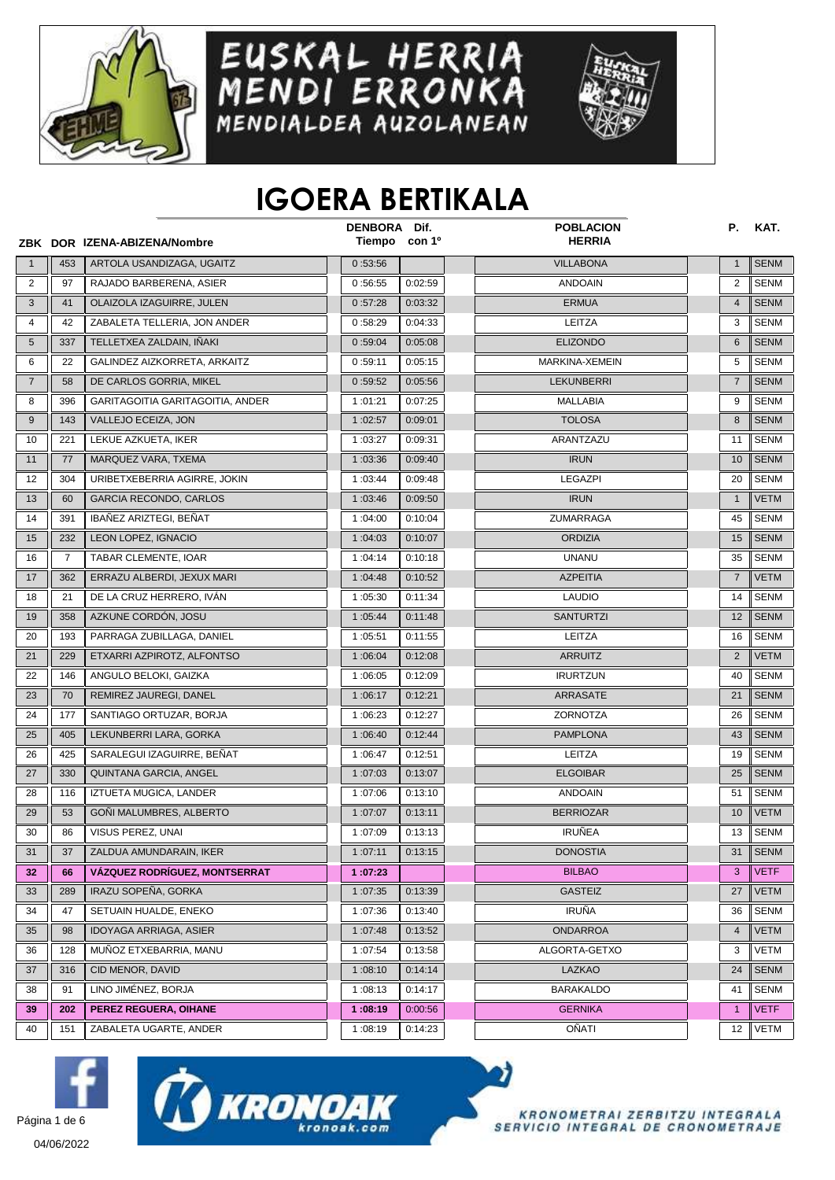

## EUSKAL HERRIA<br>MENDI ERRONKA<br>MENDIALDEA AUZOLANEAN



## **IGOERA BERTIKALA**

|                |                | ZBK DOR IZENA-ABIZENA/Nombre         | DENBORA Dif. | Tiempo con 1º    | <b>POBLACION</b><br><b>HERRIA</b> | Р.             | KAT.        |
|----------------|----------------|--------------------------------------|--------------|------------------|-----------------------------------|----------------|-------------|
| $\mathbf{1}$   | 453            | ARTOLA USANDIZAGA, UGAITZ            | 0:53:56      |                  | <b>VILLABONA</b>                  | $\mathbf{1}$   | <b>SENM</b> |
| 2              | 97             | RAJADO BARBERENA, ASIER              | 0:56:55      | 0:02:59          | <b>ANDOAIN</b>                    | 2              | <b>SENM</b> |
| $\mathbf{3}$   | 41             | OLAIZOLA IZAGUIRRE, JULEN            | 0:57:28      | 0:03:32          | <b>ERMUA</b>                      | $\overline{4}$ | <b>SENM</b> |
| $\overline{4}$ | 42             | ZABALETA TELLERIA, JON ANDER         | 0:58:29      | 0:04:33          | LEITZA                            | 3              | <b>SENM</b> |
| 5              | 337            | TELLETXEA ZALDAIN, IÑAKI             | 0:59:04      | 0:05:08          | <b>ELIZONDO</b>                   | 6              | <b>SENM</b> |
| 6              | 22             | GALINDEZ AIZKORRETA, ARKAITZ         | 0:59:11      | 0:05:15          | MARKINA-XEMEIN                    | 5              | <b>SENM</b> |
| $\overline{7}$ | 58             | DE CARLOS GORRIA, MIKEL              | 0:59:52      | 0:05:56          | <b>LEKUNBERRI</b>                 | $\overline{7}$ | <b>SENM</b> |
| 8              | 396            | GARITAGOITIA GARITAGOITIA, ANDER     | 1:01:21      | 0:07:25          | MALLABIA                          | 9              | SENM        |
| 9              | 143            | VALLEJO ECEIZA, JON                  | 1:02:57      | 0:09:01          | <b>TOLOSA</b>                     | 8              | <b>SENM</b> |
| 10             | 221            | LEKUE AZKUETA, IKER                  | 1:03:27      | 0:09:31          | ARANTZAZU                         | 11             | <b>SENM</b> |
| 11             | 77             | MARQUEZ VARA, TXEMA                  | 1:03:36      | 0:09:40          | <b>IRUN</b>                       | 10             | <b>SENM</b> |
| 12             | 304            | URIBETXEBERRIA AGIRRE, JOKIN         | 1:03:44      | 0:09:48          | <b>LEGAZPI</b>                    | 20             | <b>SENM</b> |
| 13             | 60             | <b>GARCIA RECONDO, CARLOS</b>        | 1:03:46      | 0:09:50          | <b>IRUN</b>                       | $\mathbf{1}$   | <b>VETM</b> |
| 14             | 391            | IBAÑEZ ARIZTEGI, BEÑAT               | 1:04:00      | 0:10:04          | ZUMARRAGA                         | 45             | <b>SENM</b> |
| 15             | 232            | LEON LOPEZ, IGNACIO                  | 1:04:03      | 0:10:07          | <b>ORDIZIA</b>                    | 15             | <b>SENM</b> |
| 16             | $\overline{7}$ | TABAR CLEMENTE, IOAR                 | 1:04:14      | 0:10:18          | <b>UNANU</b>                      | 35             | <b>SENM</b> |
| 17             | 362            | ERRAZU ALBERDI. JEXUX MARI           | 1:04:48      | 0:10:52          | <b>AZPEITIA</b>                   | $\overline{7}$ | <b>VETM</b> |
| 18             | 21             | DE LA CRUZ HERRERO, IVÁN             | 1:05:30      | 0:11:34          | <b>LAUDIO</b>                     | 14             | SENM        |
| 19             | 358            | AZKUNE CORDÓN, JOSU                  | 1:05:44      | 0:11:48          | <b>SANTURTZI</b>                  | 12             | <b>SENM</b> |
| 20             | 193            | PARRAGA ZUBILLAGA, DANIEL            | 1:05:51      | 0:11:55          | LEITZA                            | 16             | <b>SENM</b> |
| 21             | 229            | ETXARRI AZPIROTZ, ALFONTSO           | 1:06:04      | 0:12:08          | <b>ARRUITZ</b>                    | $\overline{2}$ | <b>VETM</b> |
| 22             | 146            | ANGULO BELOKI, GAIZKA                | 1:06:05      | 0:12:09          | <b>IRURTZUN</b>                   | 40             | <b>SENM</b> |
| 23             | 70             | REMIREZ JAUREGI, DANEL               | 1:06:17      | 0:12:21          | ARRASATE                          | 21             | <b>SENM</b> |
| 24             | 177            | SANTIAGO ORTUZAR, BORJA              | 1:06:23      | 0:12:27          | ZORNOTZA                          | 26             | SENM        |
| 25             | 405            | LEKUNBERRI LARA, GORKA               | 1:06:40      | 0:12:44          | <b>PAMPLONA</b>                   | 43             | <b>SENM</b> |
| 26             | 425            | SARALEGUI IZAGUIRRE, BEÑAT           | 1:06:47      | 0:12:51          | LEITZA                            | 19             | <b>SENM</b> |
| 27             | 330            | QUINTANA GARCIA, ANGEL               | 1:07:03      | 0:13:07          | <b>ELGOIBAR</b>                   | 25             | <b>SENM</b> |
| 28             | 116            | IZTUETA MUGICA, LANDER               | 1:07:06      | 0:13:10          | <b>ANDOAIN</b>                    | 51             | <b>SENM</b> |
| 29             | 53             | GONI MALUMBRES, ALBERTO              | 1:07:07      | 0:13:11          | <b>BERRIOZAR</b>                  | 10             | <b>VETM</b> |
| 30             | 86             | VISUS PEREZ, UNAI                    | 1:07:09      | 0:13:13          | <b>IRUÑEA</b>                     | 13             | <b>SENM</b> |
| 31             | 37             | ZALDUA AMUNDARAIN, IKER              | 1:07:11      | $\sqrt{0.13:15}$ | <b>DONOSTIA</b>                   |                | 31 SENM     |
| 32             | 66             | <b>VÁZQUEZ RODRÍGUEZ, MONTSERRAT</b> | 1:07:23      |                  | <b>BILBAO</b>                     | 3              | <b>VETF</b> |
| 33             | 289            | IRAZU SOPEÑA, GORKA                  | 1:07:35      | 0:13:39          | <b>GASTEIZ</b>                    | 27             | VETM        |
| 34             | 47             | SETUAIN HUALDE, ENEKO                | 1:07:36      | 0:13:40          | <b>IRUÑA</b>                      | 36             | <b>SENM</b> |
| 35             | 98             | IDOYAGA ARRIAGA, ASIER               | 1:07:48      | 0:13:52          | <b>ONDARROA</b>                   | 4              | <b>VETM</b> |
| 36             | 128            | MUÑOZ ETXEBARRIA, MANU               | 1:07:54      | 0:13:58          | ALGORTA-GETXO                     | 3              | VETM        |
| 37             | 316            | CID MENOR, DAVID                     | 1:08:10      | 0:14:14          | LAZKAO                            | 24             | <b>SENM</b> |
| 38             | 91             | LINO JIMÉNEZ, BORJA                  | 1:08:13      | 0:14:17          | <b>BARAKALDO</b>                  | 41             | SENM        |
| 39             | 202            | PEREZ REGUERA, OIHANE                | 1:08:19      | 0:00:56          | <b>GERNIKA</b>                    | $\mathbf{1}$   | <b>VETF</b> |
| 40             | 151            | ZABALETA UGARTE, ANDER               | 1:08:19      | 0:14:23          | OÑATI                             | 12             | <b>VETM</b> |





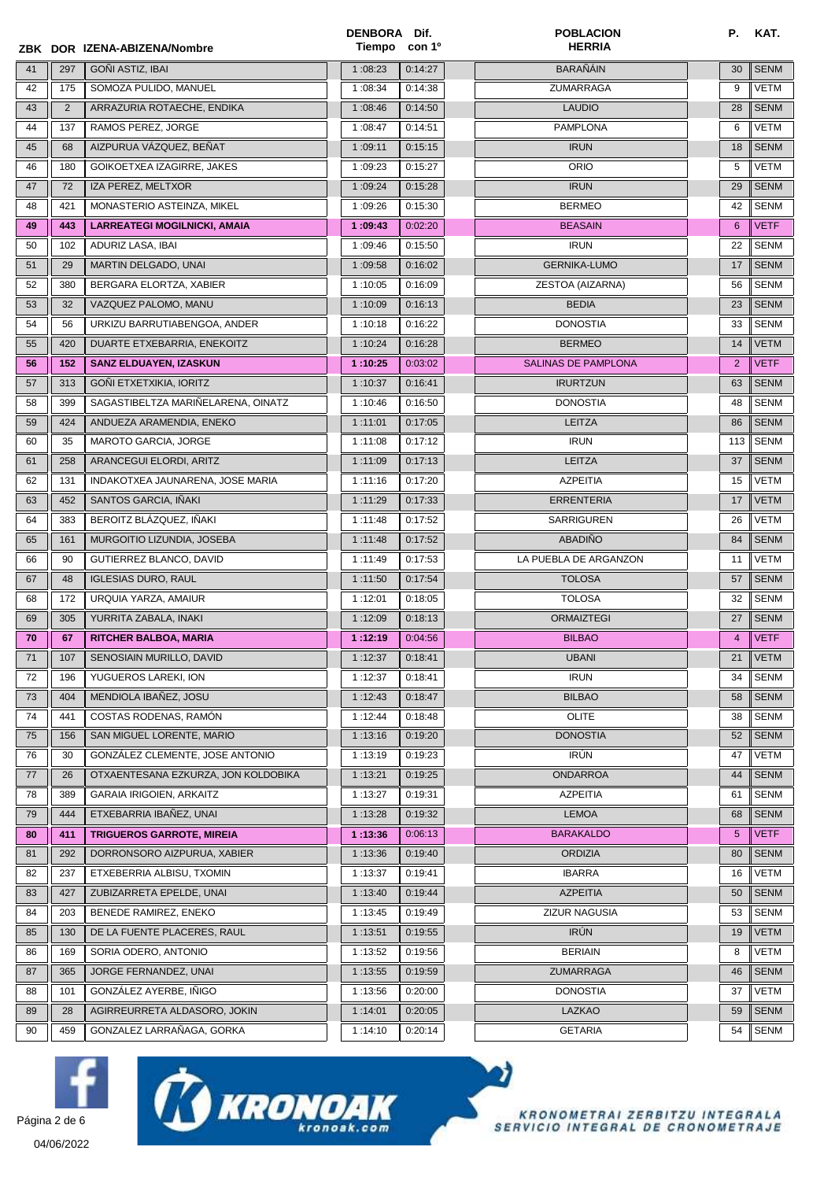|      |       | ZBK DOR IZENA-ABIZENA/Nombre        | DENBORA Dif.<br>Tiempo | con 1 <sup>o</sup> | <b>POBLACION</b><br><b>HERRIA</b> | Р.             | KAT.        |
|------|-------|-------------------------------------|------------------------|--------------------|-----------------------------------|----------------|-------------|
| 41   | 297   | GOÑI ASTIZ, IBAI                    | 1:08:23                | 0:14:27            | <b>BARAÑÁIN</b>                   | 30             | <b>SENM</b> |
| 42   | 175   | SOMOZA PULIDO, MANUEL               | 1:08:34                | 0:14:38            | ZUMARRAGA                         | 9              | <b>VETM</b> |
| 43   | 2     | ARRAZURIA ROTAECHE, ENDIKA          | 1:08:46                | 0:14:50            | <b>LAUDIO</b>                     | 28             | <b>SENM</b> |
| 44   | 137   | RAMOS PEREZ, JORGE                  | 1:08:47                | 0:14:51            | <b>PAMPLONA</b>                   | 6              | VETM        |
| 45   | 68    | AIZPURUA VÁZQUEZ, BEÑAT             | 1:09:11                | 0:15:15            | <b>IRUN</b>                       | 18             | <b>SENM</b> |
| 46   | 180   | GOIKOETXEA IZAGIRRE, JAKES          | 1:09:23                | 0:15:27            | <b>ORIO</b>                       | 5              | VETM        |
| 47   | 72    | IZA PEREZ, MELTXOR                  | 1:09:24                | 0:15:28            | <b>IRUN</b>                       | 29             | <b>SENM</b> |
| 48   | 421   | MONASTERIO ASTEINZA, MIKEL          | 1:09:26                | 0:15:30            | <b>BERMEO</b>                     | 42             | SENM        |
| 49   | 443   | <b>LARREATEGI MOGILNICKI, AMAIA</b> | 1:09:43                | 0:02:20            | <b>BEASAIN</b>                    | 6              | <b>VETF</b> |
| 50   | 102   | ADURIZ LASA, IBAI                   | 1:09:46                | 0:15:50            | <b>IRUN</b>                       | 22             | <b>SENM</b> |
| 51   | 29    | MARTIN DELGADO, UNAI                | 1:09:58                | 0:16:02            | <b>GERNIKA-LUMO</b>               | 17             | <b>SENM</b> |
| 52   | 380   | BERGARA ELORTZA, XABIER             | 1:10:05                | 0:16:09            | ZESTOA (AIZARNA)                  | 56             | <b>SENM</b> |
| 53   | 32    | VAZQUEZ PALOMO, MANU                | 1:10:09                | 0:16:13            | <b>BEDIA</b>                      | 23             | <b>SENM</b> |
| 54   | 56    | URKIZU BARRUTIABENGOA, ANDER        | 1:10:18                | 0:16:22            | <b>DONOSTIA</b>                   | 33             | <b>SENM</b> |
| 55   | 420   | DUARTE ETXEBARRIA, ENEKOITZ         | 1:10:24                | 0:16:28            | <b>BERMEO</b>                     | 14             | <b>VETM</b> |
| 56   | 152   | <b>SANZ ELDUAYEN, IZASKUN</b>       | 1:10:25                | 0:03:02            | SALINAS DE PAMPLONA               | $\overline{2}$ | <b>VETF</b> |
| 57   | 313   | GOÑI ETXETXIKIA, IORITZ             | 1:10:37                | 0:16:41            | <b>IRURTZUN</b>                   | 63             | <b>SENM</b> |
| 58   | 399   | SAGASTIBELTZA MARIÑELARENA, OINATZ  | 1:10:46                | 0:16:50            | <b>DONOSTIA</b>                   | 48             | SENM        |
| 59   | 424   | ANDUEZA ARAMENDIA, ENEKO            | 1:11:01                | 0:17:05            | LEITZA                            | 86             | <b>SENM</b> |
| 60   | 35    | <b>MAROTO GARCIA, JORGE</b>         | 1:11:08                | 0:17:12            | <b>IRUN</b>                       | 113            | <b>SENM</b> |
| 61   | 258   | ARANCEGUI ELORDI, ARITZ             | 1:11:09                | 0:17:13            | LEITZA                            | 37             | <b>SENM</b> |
| 62   | 131   | INDAKOTXEA JAUNARENA, JOSE MARIA    | 1:11:16                | 0:17:20            | <b>AZPEITIA</b>                   | 15             | VETM        |
| 63   | 452   | SANTOS GARCIA, IÑAKI                | 1:11:29                | 0:17:33            | <b>ERRENTERIA</b>                 | 17             | <b>VETM</b> |
| 64   | 383   | BEROITZ BLÁZQUEZ, IÑAKI             | 1:11:48                | 0:17:52            | SARRIGUREN                        | 26             | VETM        |
| 65   | 161   | MURGOITIO LIZUNDIA, JOSEBA          | 1:11:48                | 0:17:52            | <b>ABADIÑO</b>                    | 84             | <b>SENM</b> |
| 66   | 90    | GUTIERREZ BLANCO, DAVID             | 1:11:49                | 0:17:53            | LA PUEBLA DE ARGANZON             | 11             | VETM        |
| 67   | 48    | <b>IGLESIAS DURO, RAUL</b>          | 1:11:50                | 0:17:54            | <b>TOLOSA</b>                     | 57             | <b>SENM</b> |
| 68   | 172   | URQUIA YARZA, AMAIUR                | 1:12:01                | 0:18:05            | <b>TOLOSA</b>                     | 32             | <b>SENM</b> |
| 69   | 305   | YURRITA ZABALA, INAKI               | 1:12:09                | 0:18:13            | <b>ORMAIZTEGI</b>                 | 27             | <b>SENM</b> |
| 70   | 67    | <b>RITCHER BALBOA, MARIA</b>        | 1:12:19                | 0:04:56            | <b>BILBAO</b>                     | 4              | <b>VETF</b> |
| $71$ | $107$ | SENOSIAIN MURILLO, DAVID            | 1:12:37                | 0:18:41            | <b>UBANI</b>                      | 21             | VETM        |
| 72   | 196   | YUGUEROS LAREKI, ION                | 1:12:37                | 0:18:41            | <b>IRUN</b>                       | 34             | <b>SENM</b> |
| 73   | 404   | MENDIOLA IBAÑEZ, JOSU               | 1:12:43                | 0:18:47            | <b>BILBAO</b>                     | 58             | <b>SENM</b> |
| 74   | 441   | COSTAS RODENAS, RAMÓN               | 1:12:44                | 0:18:48            | <b>OLITE</b>                      | 38             | <b>SENM</b> |
| 75   | 156   | SAN MIGUEL LORENTE, MARIO           | 1:13:16                | 0:19:20            | <b>DONOSTIA</b>                   | 52             | <b>SENM</b> |
| 76   | 30    | GONZÁLEZ CLEMENTE, JOSE ANTONIO     | 1:13:19                | 0:19:23            | <b>IRÚN</b>                       | 47             | VETM        |
| 77   | 26    | OTXAENTESANA EZKURZA, JON KOLDOBIKA | 1:13:21                | 0:19:25            | <b>ONDARROA</b>                   | 44             | <b>SENM</b> |
| 78   | 389   | GARAIA IRIGOIEN, ARKAITZ            | 1:13:27                | 0:19:31            | <b>AZPEITIA</b>                   | 61             | <b>SENM</b> |
| 79   | 444   | ETXEBARRIA IBAÑEZ, UNAI             | 1:13:28                | 0:19:32            | <b>LEMOA</b>                      | 68             | <b>SENM</b> |
| 80   | 411   | <b>TRIGUEROS GARROTE, MIREIA</b>    | 1:13:36                | 0:06:13            | <b>BARAKALDO</b>                  | 5              | <b>VETF</b> |
| 81   | 292   | DORRONSORO AIZPURUA, XABIER         | 1:13:36                | 0:19:40            | <b>ORDIZIA</b>                    | 80             | <b>SENM</b> |
| 82   | 237   | ETXEBERRIA ALBISU, TXOMIN           | 1:13:37                | 0:19:41            | <b>IBARRA</b>                     | 16             | VETM        |
| 83   | 427   | ZUBIZARRETA EPELDE, UNAI            | 1:13:40                | 0:19:44            | <b>AZPEITIA</b>                   | 50             | <b>SENM</b> |
| 84   | 203   | BENEDE RAMIREZ, ENEKO               | 1:13:45                | 0:19:49            | ZIZUR NAGUSIA                     | 53             | SENM        |
| 85   | 130   | DE LA FUENTE PLACERES, RAUL         | 1:13:51                | 0:19:55            | <b>IRÚN</b>                       | 19             | <b>VETM</b> |
| 86   | 169   | SORIA ODERO, ANTONIO                | 1:13:52                | 0:19:56            | <b>BERIAIN</b>                    | 8              | VETM        |
| 87   | 365   | JORGE FERNANDEZ, UNAI               | 1:13:55                | 0:19:59            | ZUMARRAGA                         | 46             | <b>SENM</b> |
| 88   | 101   | GONZÁLEZ AYERBE, IÑIGO              | 1:13:56                | 0:20:00            | <b>DONOSTIA</b>                   | 37             | VETM        |
| 89   | 28    | AGIRREURRETA ALDASORO, JOKIN        | 1:14:01                | 0:20:05            | LAZKAO                            | 59             | <b>SENM</b> |
| 90   | 459   | GONZALEZ LARRAÑAGA, GORKA           | 1:14:10                | 0:20:14            | <b>GETARIA</b>                    | 54             | SENM        |
|      |       |                                     |                        |                    |                                   |                |             |







 $\boldsymbol{\gamma}$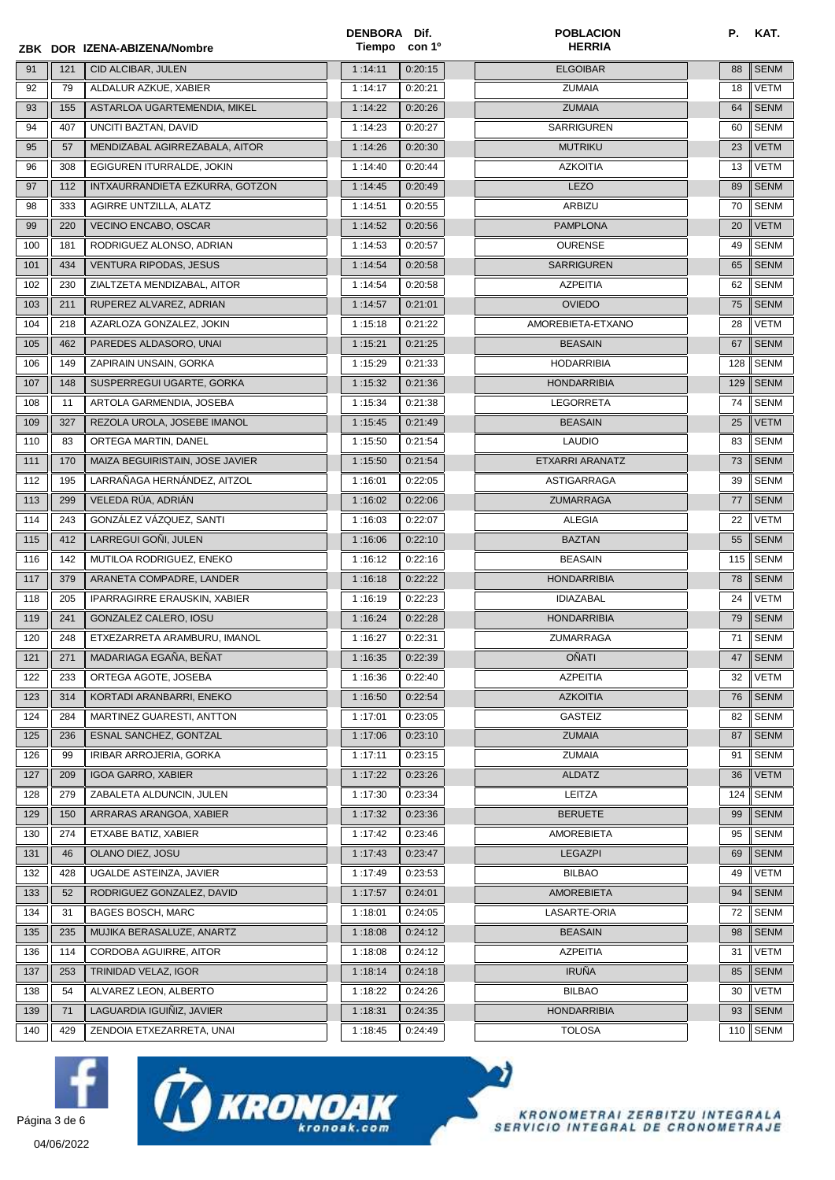|     |     | ZBK DOR IZENA-ABIZENA/Nombre        | DENBORA Dif.<br>Tiempo | con 1 <sup>o</sup> | <b>POBLACION</b><br><b>HERRIA</b> | Р.  | KAT.        |
|-----|-----|-------------------------------------|------------------------|--------------------|-----------------------------------|-----|-------------|
| 91  | 121 | CID ALCIBAR, JULEN                  | 1:14:11                | 0:20:15            | <b>ELGOIBAR</b>                   | 88  | <b>SENM</b> |
| 92  | 79  | ALDALUR AZKUE, XABIER               | 1:14:17                | 0:20:21            | <b>ZUMAIA</b>                     | 18  | VETM        |
| 93  | 155 | ASTARLOA UGARTEMENDIA, MIKEL        | 1:14:22                | 0:20:26            | <b>ZUMAIA</b>                     | 64  | <b>SENM</b> |
| 94  | 407 | UNCITI BAZTAN, DAVID                | 1:14:23                | 0:20:27            | SARRIGUREN                        | 60  | <b>SENM</b> |
| 95  | 57  | MENDIZABAL AGIRREZABALA, AITOR      | 1:14:26                | 0:20:30            | <b>MUTRIKU</b>                    | 23  | <b>VETM</b> |
| 96  | 308 | EGIGUREN ITURRALDE, JOKIN           | 1:14:40                | 0:20:44            | <b>AZKOITIA</b>                   | 13  | VETM        |
| 97  | 112 | INTXAURRANDIETA EZKURRA, GOTZON     | 1:14:45                | 0:20:49            | <b>LEZO</b>                       | 89  | <b>SENM</b> |
| 98  | 333 | AGIRRE UNTZILLA, ALATZ              | 1:14:51                | 0:20:55            | <b>ARBIZU</b>                     | 70  | SENM        |
| 99  | 220 | <b>VECINO ENCABO, OSCAR</b>         | 1:14:52                | 0:20:56            | <b>PAMPLONA</b>                   | 20  | <b>VETM</b> |
| 100 | 181 | RODRIGUEZ ALONSO, ADRIAN            | 1:14:53                | 0:20:57            | <b>OURENSE</b>                    | 49  | <b>SENM</b> |
| 101 | 434 | <b>VENTURA RIPODAS, JESUS</b>       | 1:14:54                | 0:20:58            | <b>SARRIGUREN</b>                 | 65  | <b>SENM</b> |
| 102 | 230 | ZIALTZETA MENDIZABAL, AITOR         | 1:14:54                | 0:20:58            | <b>AZPEITIA</b>                   | 62  | SENM        |
| 103 | 211 | RUPEREZ ALVAREZ, ADRIAN             | 1:14:57                | 0:21:01            | <b>OVIEDO</b>                     | 75  | <b>SENM</b> |
| 104 | 218 | AZARLOZA GONZALEZ, JOKIN            | 1:15:18                | 0:21:22            | AMOREBIETA-ETXANO                 | 28  | VETM        |
| 105 | 462 | PAREDES ALDASORO, UNAI              | 1:15:21                | 0:21:25            | <b>BEASAIN</b>                    | 67  | <b>SENM</b> |
| 106 | 149 | ZAPIRAIN UNSAIN, GORKA              | 1:15:29                | 0:21:33            | <b>HODARRIBIA</b>                 | 128 | <b>SENM</b> |
| 107 | 148 | SUSPERREGUI UGARTE, GORKA           | 1:15:32                | 0:21:36            | <b>HONDARRIBIA</b>                | 129 | <b>SENM</b> |
| 108 | 11  | ARTOLA GARMENDIA, JOSEBA            | 1:15:34                | 0:21:38            | LEGORRETA                         | 74  | <b>SENM</b> |
| 109 | 327 | REZOLA UROLA, JOSEBE IMANOL         | 1:15:45                | 0:21:49            | <b>BEASAIN</b>                    | 25  | <b>VETM</b> |
| 110 | 83  | ORTEGA MARTIN, DANEL                | 1:15:50                | 0:21:54            | <b>LAUDIO</b>                     | 83  | <b>SENM</b> |
| 111 | 170 | MAIZA BEGUIRISTAIN, JOSE JAVIER     | 1:15:50                | 0:21:54            | ETXARRI ARANATZ                   | 73  | <b>SENM</b> |
| 112 | 195 | LARRAÑAGA HERNÁNDEZ, AITZOL         | 1:16:01                | 0:22:05            | ASTIGARRAGA                       | 39  | <b>SENM</b> |
| 113 | 299 | VELEDA RÚA, ADRIÁN                  | 1:16:02                | 0:22:06            | <b>ZUMARRAGA</b>                  | 77  | <b>SENM</b> |
| 114 | 243 | GONZÁLEZ VÁZQUEZ, SANTI             | 1:16:03                | 0:22:07            | <b>ALEGIA</b>                     | 22  | <b>VETM</b> |
| 115 | 412 | LARREGUI GOÑI, JULEN                | 1:16:06                | 0:22:10            | <b>BAZTAN</b>                     | 55  | <b>SENM</b> |
| 116 | 142 | MUTILOA RODRIGUEZ, ENEKO            | 1:16:12                | 0:22:16            | <b>BEASAIN</b>                    | 115 | <b>SENM</b> |
| 117 | 379 | ARANETA COMPADRE, LANDER            | 1:16:18                | 0:22:22            | <b>HONDARRIBIA</b>                | 78  | <b>SENM</b> |
| 118 | 205 | <b>IPARRAGIRRE ERAUSKIN, XABIER</b> | 1:16:19                | 0:22:23            | <b>IDIAZABAL</b>                  | 24  | <b>VETM</b> |
| 119 | 241 | GONZALEZ CALERO, IOSU               | 1:16:24                | 0:22:28            | <b>HONDARRIBIA</b>                | 79  | <b>SENM</b> |
| 120 | 248 | ETXEZARRETA ARAMBURU, IMANOL        | 1:16:27                | 0:22:31            | ZUMARRAGA                         | 71  | <b>SENM</b> |
| 121 | 271 | MADARIAGA EGAÑA, BEÑAT              | 1:16:35                | 0:22:39            | <b>OÑATI</b>                      | 47  | SENM        |
| 122 | 233 | ORTEGA AGOTE, JOSEBA                | 1:16:36                | 0:22:40            | <b>AZPEITIA</b>                   | 32  | VETM        |
| 123 | 314 | KORTADI ARANBARRI, ENEKO            | 1:16:50                | 0:22:54            | <b>AZKOITIA</b>                   | 76  | <b>SENM</b> |
| 124 | 284 | MARTINEZ GUARESTI, ANTTON           | 1:17:01                | 0:23:05            | <b>GASTEIZ</b>                    | 82  | <b>SENM</b> |
| 125 | 236 | ESNAL SANCHEZ, GONTZAL              | 1:17:06                | 0:23:10            | <b>ZUMAIA</b>                     | 87  | <b>SENM</b> |
| 126 | 99  | IRIBAR ARROJERIA, GORKA             | 1:17:11                | 0:23:15            | ZUMAIA                            | 91  | SENM        |
| 127 | 209 | <b>IGOA GARRO, XABIER</b>           | 1:17:22                | 0:23:26            | <b>ALDATZ</b>                     | 36  | <b>VETM</b> |
| 128 | 279 | ZABALETA ALDUNCIN, JULEN            | 1:17:30                | 0:23:34            | LEITZA                            | 124 | SENM        |
| 129 | 150 | ARRARAS ARANGOA, XABIER             | 1:17:32                | 0:23:36            | <b>BERUETE</b>                    | 99  | <b>SENM</b> |
| 130 | 274 | ETXABE BATIZ, XABIER                | 1:17:42                | 0:23:46            | <b>AMOREBIETA</b>                 | 95  | <b>SENM</b> |
| 131 | 46  | OLANO DIEZ, JOSU                    | 1:17:43                | 0:23:47            | <b>LEGAZPI</b>                    | 69  | <b>SENM</b> |
| 132 | 428 | UGALDE ASTEINZA, JAVIER             | 1:17:49                | 0:23:53            | <b>BILBAO</b>                     | 49  | VETM        |
| 133 | 52  | RODRIGUEZ GONZALEZ, DAVID           | 1:17:57                | 0:24:01            | <b>AMOREBIETA</b>                 | 94  | <b>SENM</b> |
| 134 | 31  | <b>BAGES BOSCH, MARC</b>            | 1:18:01                | 0:24:05            | LASARTE-ORIA                      | 72  | SENM        |
| 135 | 235 | MUJIKA BERASALUZE, ANARTZ           | 1:18:08                | 0:24:12            | <b>BEASAIN</b>                    | 98  | <b>SENM</b> |
| 136 | 114 | CORDOBA AGUIRRE, AITOR              | 1:18:08                | 0:24:12            | <b>AZPEITIA</b>                   | 31  | <b>VETM</b> |
| 137 | 253 | TRINIDAD VELAZ, IGOR                | 1:18:14                | 0:24:18            | <b>IRUÑA</b>                      | 85  | <b>SENM</b> |
| 138 | 54  | ALVAREZ LEON, ALBERTO               | 1:18:22                | 0:24:26            | <b>BILBAO</b>                     | 30  | VETM        |
| 139 | 71  | LAGUARDIA IGUIÑIZ, JAVIER           | 1:18:31                | 0:24:35            | <b>HONDARRIBIA</b>                | 93  | <b>SENM</b> |
| 140 | 429 | ZENDOIA ETXEZARRETA, UNAI           | 1:18:45                | 0:24:49            | <b>TOLOSA</b>                     | 110 | <b>SENM</b> |







 $\boldsymbol{\gamma}$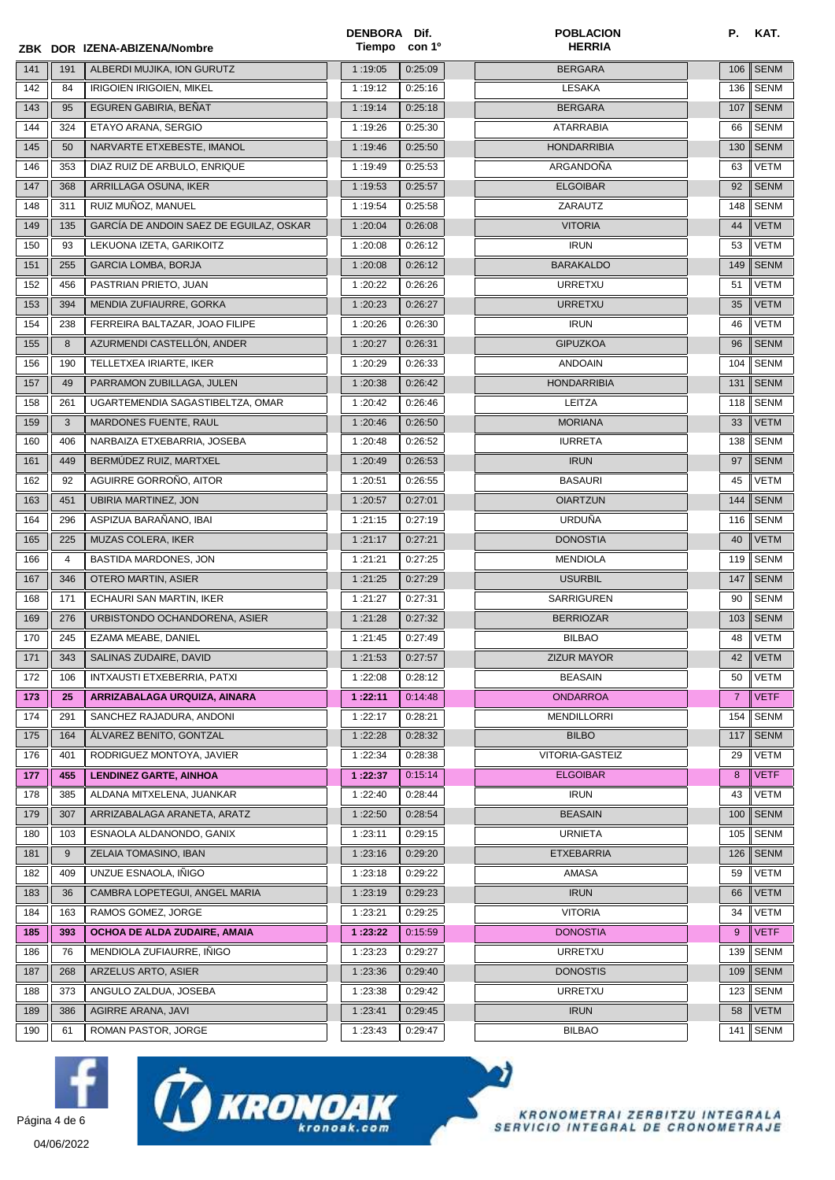|               |     | ZBK DOR IZENA-ABIZENA/Nombre            | DENBORA Dif.<br>Tiempo | con 1 <sup>o</sup> | <b>POBLACION</b><br><b>HERRIA</b> | Р.             | KAT.        |
|---------------|-----|-----------------------------------------|------------------------|--------------------|-----------------------------------|----------------|-------------|
| 141           | 191 | ALBERDI MUJIKA, ION GURUTZ              | 1:19:05                | 0:25:09            | <b>BERGARA</b>                    | 106            | <b>SENM</b> |
| 142           | 84  | <b>IRIGOIEN IRIGOIEN, MIKEL</b>         | 1:19:12                | 0:25:16            | LESAKA                            | 136            | <b>SENM</b> |
| 143           | 95  | EGUREN GABIRIA, BEÑAT                   | 1:19:14                | 0:25:18            | <b>BERGARA</b>                    | 107            | <b>SENM</b> |
| 144           | 324 | ETAYO ARANA, SERGIO                     | 1:19:26                | 0:25:30            | <b>ATARRABIA</b>                  | 66             | <b>SENM</b> |
| 145           | 50  | NARVARTE ETXEBESTE, IMANOL              | 1:19:46                | 0:25:50            | <b>HONDARRIBIA</b>                | 130            | <b>SENM</b> |
| 146           | 353 | DIAZ RUIZ DE ARBULO, ENRIQUE            | 1:19:49                | 0:25:53            | ARGANDOÑA                         | 63             | <b>VETM</b> |
| 147           | 368 | ARRILLAGA OSUNA, IKER                   | 1:19:53                | 0:25:57            | <b>ELGOIBAR</b>                   | 92             | <b>SENM</b> |
| 148           | 311 | RUIZ MUÑOZ, MANUEL                      | 1:19:54                | 0:25:58            | ZARAUTZ                           | 148            | <b>SENM</b> |
| 149           | 135 | GARCÍA DE ANDOIN SAEZ DE EGUILAZ, OSKAR | 1:20:04                | 0:26:08            | <b>VITORIA</b>                    | 44             | <b>VETM</b> |
| 150           | 93  | LEKUONA IZETA, GARIKOITZ                | 1:20:08                | 0:26:12            | <b>IRUN</b>                       | 53             | <b>VETM</b> |
| 151           | 255 | <b>GARCIA LOMBA, BORJA</b>              | 1:20:08                | 0:26:12            | <b>BARAKALDO</b>                  | 149            | <b>SENM</b> |
| 152           | 456 | PASTRIAN PRIETO, JUAN                   | 1:20:22                | 0:26:26            | <b>URRETXU</b>                    | 51             | <b>VETM</b> |
| 153           | 394 | MENDIA ZUFIAURRE, GORKA                 | 1:20:23                | 0:26:27            | <b>URRETXU</b>                    | 35             | <b>VETM</b> |
| 154           | 238 | FERREIRA BALTAZAR, JOAO FILIPE          | 1:20:26                | 0:26:30            | <b>IRUN</b>                       | 46             | <b>VETM</b> |
| 155           | 8   | AZURMENDI CASTELLÓN, ANDER              | 1:20:27                | 0:26:31            | <b>GIPUZKOA</b>                   | 96             | <b>SENM</b> |
| 156           | 190 | TELLETXEA IRIARTE, IKER                 | 1:20:29                | 0:26:33            | <b>ANDOAIN</b>                    | 104            | <b>SENM</b> |
| 157           | 49  | PARRAMON ZUBILLAGA, JULEN               | 1:20:38                | 0:26:42            | <b>HONDARRIBIA</b>                | 131            | <b>SENM</b> |
| 158           | 261 | UGARTEMENDIA SAGASTIBELTZA, OMAR        | 1:20:42                | 0:26:46            | LEITZA                            | 118            | <b>SENM</b> |
| 159           | 3   | MARDONES FUENTE, RAUL                   | 1:20:46                | 0:26:50            | <b>MORIANA</b>                    | 33             | <b>VETM</b> |
| 160           | 406 | NARBAIZA ETXEBARRIA, JOSEBA             | 1:20:48                | 0:26:52            | <b>IURRETA</b>                    | 138            | <b>SENM</b> |
| 161           | 449 | BERMÚDEZ RUIZ, MARTXEL                  | 1:20:49                | 0:26:53            | <b>IRUN</b>                       | 97             | <b>SENM</b> |
| 162           | 92  | AGUIRRE GORROÑO, AITOR                  | 1:20:51                | 0:26:55            | <b>BASAURI</b>                    | 45             | <b>VETM</b> |
| 163           | 451 | <b>UBIRIA MARTINEZ, JON</b>             | 1:20:57                | 0:27:01            | <b>OIARTZUN</b>                   | 144            | <b>SENM</b> |
| 164           | 296 | ASPIZUA BARAÑANO, IBAI                  | 1:21:15                | 0:27:19            | <b>URDUÑA</b>                     | 116            | <b>SENM</b> |
| 165           | 225 | MUZAS COLERA, IKER                      | 1:21:17                | 0:27:21            | <b>DONOSTIA</b>                   | 40             | <b>VETM</b> |
| 166           | 4   | BASTIDA MARDONES, JON                   | 1:21:21                | 0:27:25            | <b>MENDIOLA</b>                   | 119            | <b>SENM</b> |
| 167           | 346 | OTERO MARTIN, ASIER                     | 1:21:25                | 0:27:29            | <b>USURBIL</b>                    | 147            | <b>SENM</b> |
| 168           | 171 | ECHAURI SAN MARTIN, IKER                | 1:21:27                | 0:27:31            | <b>SARRIGUREN</b>                 | 90             | <b>SENM</b> |
| 169           | 276 | URBISTONDO OCHANDORENA, ASIER           | 1:21:28                | 0:27:32            | <b>BERRIOZAR</b>                  | 103            | <b>SENM</b> |
| 170           | 245 | EZAMA MEABE, DANIEL                     | 1:21:45                | 0:27:49            | <b>BILBAO</b>                     | 48             | <b>VETM</b> |
| $\boxed{171}$ | 343 | SALINAS ZUDAIRE, DAVID                  | 1:21:53                | 0:27:57            | <b>ZIZUR MAYOR</b>                | 42             | VETM        |
| 172           | 106 | INTXAUSTI ETXEBERRIA, PATXI             | 1:22:08                | 0:28:12            | <b>BEASAIN</b>                    | 50             | <b>VETM</b> |
| 173           | 25  | ARRIZABALAGA URQUIZA, AINARA            | 1:22:11                | 0:14:48            | <b>ONDARROA</b>                   | $\overline{7}$ | <b>VETF</b> |
| 174           | 291 | SANCHEZ RAJADURA, ANDONI                | 1:22:17                | 0:28:21            | <b>MENDILLORRI</b>                | 154            | <b>SENM</b> |
| 175           | 164 | ÁLVAREZ BENITO, GONTZAL                 | 1:22:28                | 0:28:32            | <b>BILBO</b>                      | 117            | <b>SENM</b> |
| 176           | 401 | RODRIGUEZ MONTOYA, JAVIER               | 1:22:34                | 0:28:38            | VITORIA-GASTEIZ                   | 29             | <b>VETM</b> |
| 177           | 455 | <b>LENDINEZ GARTE, AINHOA</b>           | 1:22:37                | 0:15:14            | <b>ELGOIBAR</b>                   | 8              | <b>VETF</b> |
| 178           | 385 | ALDANA MITXELENA, JUANKAR               | 1:22:40                | 0:28:44            | <b>IRUN</b>                       | 43             | <b>VETM</b> |
| 179           | 307 | ARRIZABALAGA ARANETA, ARATZ             | 1:22:50                | 0:28:54            | <b>BEASAIN</b>                    | 100            | <b>SENM</b> |
| 180           | 103 | ESNAOLA ALDANONDO, GANIX                | 1:23:11                | 0:29:15            | <b>URNIETA</b>                    | 105            | <b>SENM</b> |
| 181           | 9   | ZELAIA TOMASINO, IBAN                   | 1:23:16                | 0:29:20            | <b>ETXEBARRIA</b>                 | 126            | <b>SENM</b> |
| 182           | 409 | UNZUE ESNAOLA, IÑIGO                    | 1:23:18                | 0:29:22            | AMASA                             | 59             | <b>VETM</b> |
| 183           | 36  | CAMBRA LOPETEGUI, ANGEL MARIA           | 1:23:19                | 0:29:23            | <b>IRUN</b>                       | 66             | <b>VETM</b> |
| 184           | 163 | RAMOS GOMEZ, JORGE                      | 1:23:21                | 0:29:25            | <b>VITORIA</b>                    | 34             | <b>VETM</b> |
| 185           | 393 | OCHOA DE ALDA ZUDAIRE, AMAIA            | 1:23:22                | 0:15:59            | <b>DONOSTIA</b>                   | 9              | <b>VETF</b> |
| 186           | 76  | MENDIOLA ZUFIAURRE, IÑIGO               | 1:23:23                | 0:29:27            | <b>URRETXU</b>                    | 139            | <b>SENM</b> |
| 187           | 268 | ARZELUS ARTO, ASIER                     | 1:23:36                | 0:29:40            | <b>DONOSTIS</b>                   | 109            | <b>SENM</b> |
| 188           | 373 | ANGULO ZALDUA, JOSEBA                   | 1:23:38                | 0:29:42            | <b>URRETXU</b>                    | 123            | SENM        |
| 189           | 386 | AGIRRE ARANA, JAVI                      | 1:23:41                | 0:29:45            | <b>IRUN</b>                       | 58             | <b>VETM</b> |
| 190           | 61  | ROMAN PASTOR, JORGE                     | 1:23:43                | 0:29:47            | <b>BILBAO</b>                     | 141            | SENM        |







o)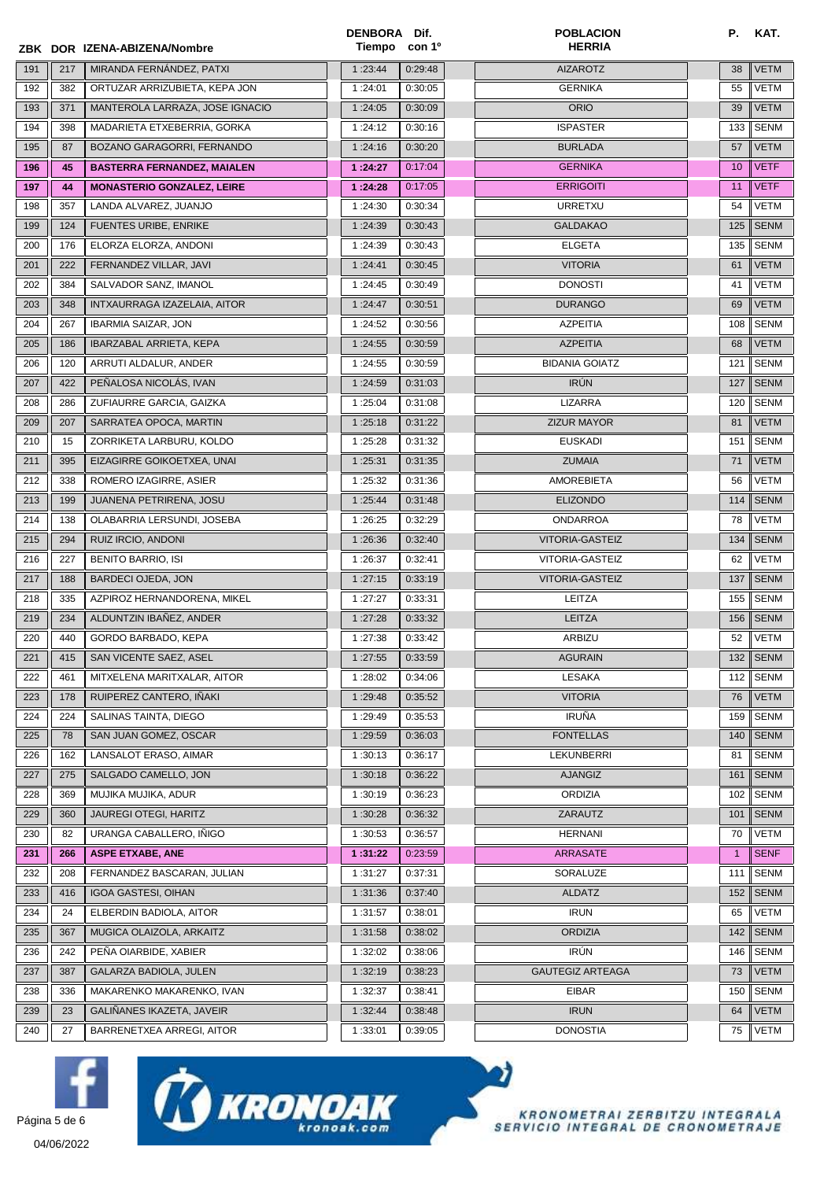|     |     | ZBK DOR IZENA-ABIZENA/Nombre       | DENBORA Dif. | Tiempo con 1 <sup>o</sup> | <b>POBLACION</b><br><b>HERRIA</b> | Р.              | KAT.                 |
|-----|-----|------------------------------------|--------------|---------------------------|-----------------------------------|-----------------|----------------------|
| 191 | 217 | MIRANDA FERNÁNDEZ, PATXI           | 1:23:44      | 0:29:48                   | <b>AIZAROTZ</b>                   | 38              | <b>VETM</b>          |
| 192 | 382 | ORTUZAR ARRIZUBIETA, KEPA JON      | 1:24:01      | 0:30:05                   | <b>GERNIKA</b>                    | 55              | <b>VETM</b>          |
| 193 | 371 | MANTEROLA LARRAZA, JOSE IGNACIO    | 1:24:05      | 0:30:09                   | <b>ORIO</b>                       | 39              | VETM                 |
| 194 | 398 | MADARIETA ETXEBERRIA, GORKA        | 1:24:12      | 0:30:16                   | <b>ISPASTER</b>                   | 133             | SENM                 |
| 195 | 87  | BOZANO GARAGORRI, FERNANDO         | 1:24:16      | 0:30:20                   | <b>BURLADA</b>                    | 57              | <b>VETM</b>          |
| 196 | 45  | <b>BASTERRA FERNANDEZ, MAIALEN</b> | 1:24:27      | 0:17:04                   | <b>GERNIKA</b>                    | 10 <sup>°</sup> | <b>VETF</b>          |
| 197 | 44  | <b>MONASTERIO GONZALEZ, LEIRE</b>  | 1:24:28      | 0:17:05                   | <b>ERRIGOITI</b>                  | 11              | <b>VETF</b>          |
| 198 | 357 | LANDA ALVAREZ, JUANJO              | 1:24:30      | 0:30:34                   | <b>URRETXU</b>                    | 54              | <b>VETM</b>          |
| 199 | 124 | <b>FUENTES URIBE, ENRIKE</b>       | 1:24:39      | 0:30:43                   | <b>GALDAKAO</b>                   | 125             | <b>SENM</b>          |
| 200 | 176 | ELORZA ELORZA, ANDONI              | 1:24:39      | 0:30:43                   | <b>ELGETA</b>                     | 135             | SENM                 |
| 201 | 222 | FERNANDEZ VILLAR, JAVI             | 1:24:41      | 0:30:45                   | <b>VITORIA</b>                    | 61              | <b>VETM</b>          |
| 202 | 384 | SALVADOR SANZ, IMANOL              | 1:24:45      | 0:30:49                   | <b>DONOSTI</b>                    | 41              | VETM                 |
| 203 | 348 | INTXAURRAGA IZAZELAIA, AITOR       | 1:24:47      | 0:30:51                   | <b>DURANGO</b>                    | 69              | <b>VETM</b>          |
| 204 | 267 | <b>IBARMIA SAIZAR, JON</b>         | 1:24:52      | 0:30:56                   | <b>AZPEITIA</b>                   | 108             | SENM                 |
| 205 | 186 | <b>IBARZABAL ARRIETA, KEPA</b>     | 1:24:55      | 0:30:59                   | <b>AZPEITIA</b>                   | 68              | VETM                 |
| 206 | 120 | ARRUTI ALDALUR, ANDER              | 1:24:55      | 0:30:59                   | <b>BIDANIA GOIATZ</b>             | 121             | SENM                 |
| 207 | 422 | PEÑALOSA NICOLÁS, IVAN             | 1:24:59      | 0:31:03                   | <b>IRÚN</b>                       | 127             | <b>SENM</b>          |
| 208 | 286 | ZUFIAURRE GARCIA, GAIZKA           | 1:25:04      | 0:31:08                   | <b>LIZARRA</b>                    | 120             | <b>SENM</b>          |
| 209 | 207 | SARRATEA OPOCA, MARTIN             | 1:25:18      | 0:31:22                   | <b>ZIZUR MAYOR</b>                | 81              | <b>VETM</b>          |
| 210 | 15  | ZORRIKETA LARBURU, KOLDO           | 1:25:28      | 0:31:32                   | <b>EUSKADI</b>                    | 151             | <b>SENM</b>          |
| 211 | 395 | EIZAGIRRE GOIKOETXEA, UNAI         | 1:25:31      | 0:31:35                   | <b>ZUMAIA</b>                     | 71              | VETM                 |
| 212 | 338 | ROMERO IZAGIRRE, ASIER             | 1:25:32      | 0:31:36                   | AMOREBIETA                        | 56              | VETM                 |
| 213 | 199 | JUANENA PETRIRENA, JOSU            | 1:25:44      | 0:31:48                   | <b>ELIZONDO</b>                   | 114             | <b>SENM</b>          |
| 214 | 138 | OLABARRIA LERSUNDI, JOSEBA         | 1:26:25      | 0:32:29                   | <b>ONDARROA</b>                   | 78              | VETM                 |
| 215 | 294 | RUIZ IRCIO, ANDONI                 | 1:26:36      | 0:32:40                   | VITORIA-GASTEIZ                   | 134             | <b>SENM</b>          |
| 216 | 227 | <b>BENITO BARRIO, ISI</b>          | 1:26:37      | 0:32:41                   | <b>VITORIA-GASTEIZ</b>            | 62              | <b>VETM</b>          |
| 217 | 188 | <b>BARDECI OJEDA, JON</b>          | 1:27:15      | 0:33:19                   | <b>VITORIA-GASTEIZ</b>            | 137             | <b>SENM</b>          |
| 218 | 335 | AZPIROZ HERNANDORENA, MIKEL        | 1:27:27      | 0:33:31                   | LEITZA                            | 155             | SENM                 |
| 219 | 234 | ALDUNTZIN IBAÑEZ, ANDER            | 1:27:28      | 0:33:32                   | <b>LEITZA</b>                     | 156             | <b>SENM</b>          |
| 220 | 440 | GORDO BARBADO, KEPA                | 1:27:38      | 0:33:42                   | ARBIZU                            | 52              | VETM                 |
| 221 | 415 | SAN VICENTE SAEZ, ASEL             | 1:27:55      | 0:33:59                   | <b>AGURAIN</b>                    |                 | 132 $\parallel$ SENM |
| 222 | 461 | MITXELENA MARITXALAR, AITOR        | 1:28:02      | 0:34:06                   | <b>LESAKA</b>                     | 112             | <b>SENM</b>          |
| 223 | 178 | RUIPEREZ CANTERO. IÑAKI            | 1:29:48      | 0:35:52                   | <b>VITORIA</b>                    | 76              | <b>VETM</b>          |
| 224 | 224 | SALINAS TAINTA, DIEGO              | 1:29:49      | 0:35:53                   | <b>IRUÑA</b>                      | 159             | SENM                 |
| 225 | 78  | SAN JUAN GOMEZ, OSCAR              | 1:29:59      | 0:36:03                   | <b>FONTELLAS</b>                  | 140             | <b>SENM</b>          |
| 226 | 162 | LANSALOT ERASO, AIMAR              | 1:30:13      | 0:36:17                   | LEKUNBERRI                        | 81              | SENM                 |
| 227 | 275 | SALGADO CAMELLO, JON               | 1:30:18      | 0:36:22                   | <b>AJANGIZ</b>                    | 161             | <b>SENM</b>          |
| 228 | 369 | MUJIKA MUJIKA, ADUR                | 1:30:19      | 0:36:23                   | <b>ORDIZIA</b>                    | 102             | SENM                 |
| 229 | 360 | <b>JAUREGI OTEGI, HARITZ</b>       | 1:30:28      | 0:36:32                   | ZARAUTZ                           | 101             | <b>SENM</b>          |
| 230 | 82  | URANGA CABALLERO, IÑIGO            | 1:30:53      | 0:36:57                   | <b>HERNANI</b>                    | 70              | VETM                 |
| 231 | 266 | <b>ASPE ETXABE, ANE</b>            | 1:31:22      | 0:23:59                   | <b>ARRASATE</b>                   | $\mathbf{1}$    | <b>SENF</b>          |
| 232 | 208 | FERNANDEZ BASCARAN, JULIAN         | 1:31:27      | 0:37:31                   | SORALUZE                          | 111             | SENM                 |
| 233 | 416 | <b>IGOA GASTESI, OIHAN</b>         | 1:31:36      | 0:37:40                   | <b>ALDATZ</b>                     | 152             | <b>SENM</b>          |
| 234 | 24  | ELBERDIN BADIOLA, AITOR            | 1:31:57      | 0:38:01                   | <b>IRUN</b>                       | 65              | VETM                 |
| 235 | 367 | MUGICA OLAIZOLA, ARKAITZ           | 1:31:58      | 0:38:02                   | <b>ORDIZIA</b>                    | 142             | <b>SENM</b>          |
| 236 | 242 | PENA OIARBIDE, XABIER              | 1:32:02      | 0:38:06                   | <b>IRÚN</b>                       | 146             | SENM                 |
| 237 | 387 | <b>GALARZA BADIOLA, JULEN</b>      | 1:32:19      | 0:38:23                   | <b>GAUTEGIZ ARTEAGA</b>           | 73              | <b>VETM</b>          |
| 238 | 336 | MAKARENKO MAKARENKO, IVAN          | 1:32:37      | 0:38:41                   | <b>EIBAR</b>                      | 150             | SENM                 |
| 239 | 23  | GALINANES IKAZETA, JAVEIR          | 1:32:44      | 0:38:48                   | <b>IRUN</b>                       | 64              | VETM                 |
| 240 | 27  | BARRENETXEA ARREGI, AITOR          | 1:33:01      | 0:39:05                   | <b>DONOSTIA</b>                   | 75              | <b>VETM</b>          |







o)